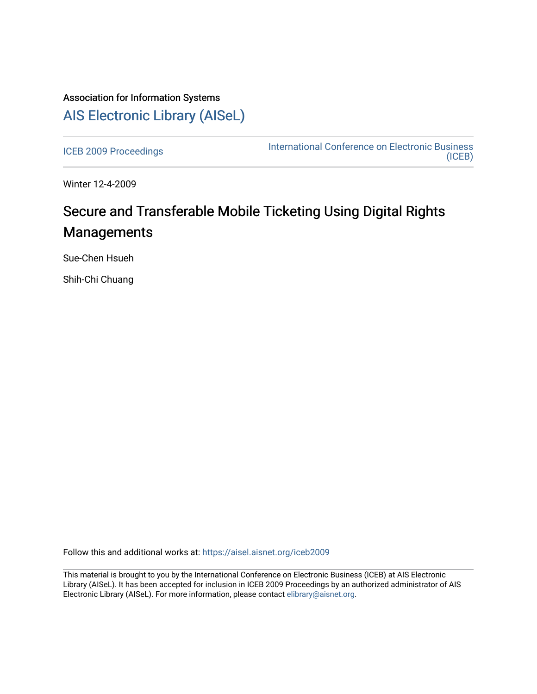## Association for Information Systems [AIS Electronic Library \(AISeL\)](https://aisel.aisnet.org/)

[ICEB 2009 Proceedings](https://aisel.aisnet.org/iceb2009) **International Conference on Electronic Business** [\(ICEB\)](https://aisel.aisnet.org/iceb) 

Winter 12-4-2009

# Secure and Transferable Mobile Ticketing Using Digital Rights **Managements**

Sue-Chen Hsueh

Shih-Chi Chuang

Follow this and additional works at: [https://aisel.aisnet.org/iceb2009](https://aisel.aisnet.org/iceb2009?utm_source=aisel.aisnet.org%2Ficeb2009%2F119&utm_medium=PDF&utm_campaign=PDFCoverPages)

This material is brought to you by the International Conference on Electronic Business (ICEB) at AIS Electronic Library (AISeL). It has been accepted for inclusion in ICEB 2009 Proceedings by an authorized administrator of AIS Electronic Library (AISeL). For more information, please contact [elibrary@aisnet.org.](mailto:elibrary@aisnet.org%3E)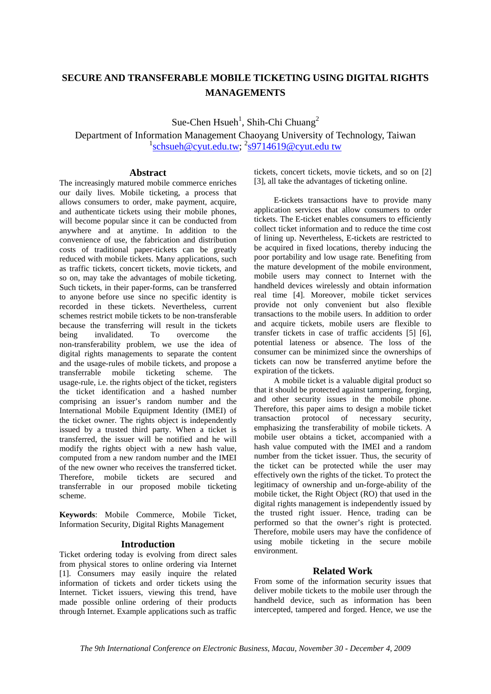### **SECURE AND TRANSFERABLE MOBILE TICKETING USING DIGITAL RIGHTS MANAGEMENTS**

Sue-Chen  $H<sub>3</sub>$  Hsueh<sup>1</sup>, Shih-Chi Chuang<sup>2</sup>

Department of Information Management Chaoyang University of Technology, Taiwan <sup>1</sup>schsueh@cyut.edu.tw; <sup>2</sup>s9714619@cyut.edu tw

#### **Abstract**

The increasingly matured mobile commerce enriches our daily lives. Mobile ticketing, a process that allows consumers to order, make payment, acquire, and authenticate tickets using their mobile phones, will become popular since it can be conducted from anywhere and at anytime. In addition to the convenience of use, the fabrication and distribution costs of traditional paper-tickets can be greatly reduced with mobile tickets. Many applications, such as traffic tickets, concert tickets, movie tickets, and so on, may take the advantages of mobile ticketing. Such tickets, in their paper-forms, can be transferred to anyone before use since no specific identity is recorded in these tickets. Nevertheless, current schemes restrict mobile tickets to be non-transferable because the transferring will result in the tickets being invalidated. To overcome the non-transferability problem, we use the idea of digital rights managements to separate the content and the usage-rules of mobile tickets, and propose a transferrable mobile ticketing scheme. The usage-rule, i.e. the rights object of the ticket, registers the ticket identification and a hashed number comprising an issuer's random number and the International Mobile Equipment Identity (IMEI) of the ticket owner. The rights object is independently issued by a trusted third party. When a ticket is transferred, the issuer will be notified and he will modify the rights object with a new hash value, computed from a new random number and the IMEI of the new owner who receives the transferred ticket. Therefore, mobile tickets are secured and transferrable in our proposed mobile ticketing scheme.

**Keywords**: Mobile Commerce, Mobile Ticket, Information Security, Digital Rights Management

#### **Introduction**

Ticket ordering today is evolving from direct sales from physical stores to online ordering via Internet [1]. Consumers may easily inquire the related information of tickets and order tickets using the Internet. Ticket issuers, viewing this trend, have made possible online ordering of their products through Internet. Example applications such as traffic tickets, concert tickets, movie tickets, and so on [2] [3], all take the advantages of ticketing online.

E-tickets transactions have to provide many application services that allow consumers to order tickets. The E-ticket enables consumers to efficiently collect ticket information and to reduce the time cost of lining up. Nevertheless, E-tickets are restricted to be acquired in fixed locations, thereby inducing the poor portability and low usage rate. Benefiting from the mature development of the mobile environment, mobile users may connect to Internet with the handheld devices wirelessly and obtain information real time [4]. Moreover, mobile ticket services provide not only convenient but also flexible transactions to the mobile users. In addition to order and acquire tickets, mobile users are flexible to transfer tickets in case of traffic accidents [5] [6], potential lateness or absence. The loss of the consumer can be minimized since the ownerships of tickets can now be transferred anytime before the expiration of the tickets.

A mobile ticket is a valuable digital product so that it should be protected against tampering, forging, and other security issues in the mobile phone. Therefore, this paper aims to design a mobile ticket transaction protocol of necessary security, emphasizing the transferability of mobile tickets. A mobile user obtains a ticket, accompanied with a hash value computed with the IMEI and a random number from the ticket issuer. Thus, the security of the ticket can be protected while the user may effectively own the rights of the ticket. To protect the legitimacy of ownership and un-forge-ability of the mobile ticket, the Right Object (RO) that used in the digital rights management is independently issued by the trusted right issuer. Hence, trading can be performed so that the owner's right is protected. Therefore, mobile users may have the confidence of using mobile ticketing in the secure mobile environment.

#### **Related Work**

From some of the information security issues that deliver mobile tickets to the mobile user through the handheld device, such as information has been intercepted, tampered and forged. Hence, we use the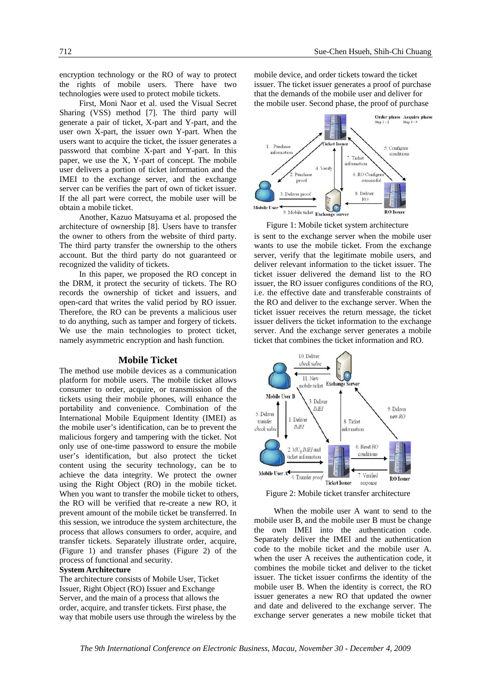encryption technology or the RO of way to protect the rights of mobile users. There have two technologies were used to protect mobile tickets.

First, Moni Naor et al. used the Visual Secret Sharing (VSS) method [7]. The third party will generate a pair of ticket, X-part and Y-part, and the user own X-part, the issuer own Y-part. When the users want to acquire the ticket, the issuer generates a password that combine X-part and Y-part. In this paper, we use the X, Y-part of concept. The mobile user delivers a portion of ticket information and the IMEI to the exchange server, and the exchange server can be verifies the part of own of ticket issuer. If the all part were correct, the mobile user will be obtain a mobile ticket.

Another, Kazuo Matsuyama et al. proposed the architecture of ownership [8]. Users have to transfer the owner to others from the website of third party. The third party transfer the ownership to the others account. But the third party do not guaranteed or recognized the validity of tickets.

In this paper, we proposed the RO concept in the DRM, it protect the security of tickets. The RO records the ownership of ticket and issuers, and open-card that writes the valid period by RO issuer. Therefore, the RO can be prevents a malicious user to do anything, such as tamper and forgery of tickets. We use the main technologies to protect ticket, namely asymmetric encryption and hash function.

#### **Mobile Ticket**

The method use mobile devices as a communication platform for mobile users. The mobile ticket allows consumer to order, acquire, or transmission of the tickets using their mobile phones, will enhance the portability and convenience. Combination of the International Mobile Equipment Identity (IMEI) as the mobile user's identification, can be to prevent the malicious forgery and tampering with the ticket. Not only use of one-time password to ensure the mobile user's identification, but also protect the ticket content using the security technology, can be to achieve the data integrity. We protect the owner using the Right Object (RO) in the mobile ticket. When you want to transfer the mobile ticket to others, the RO will be verified that re-create a new RO, it prevent amount of the mobile ticket be transferred. In this session, we introduce the system architecture, the process that allows consumers to order, acquire, and transfer tickets. Separately illustrate order, acquire, (Figure 1) and transfer phases (Figure 2) of the process of functional and security.

#### **System Architecture**

The architecture consists of Mobile User, Ticket Issuer, Right Object (RO) Issuer and Exchange Server, and the main of a process that allows the order, acquire, and transfer tickets. First phase, the way that mobile users use through the wireless by the mobile device, and order tickets toward the ticket issuer. The ticket issuer generates a proof of purchase that the demands of the mobile user and deliver for the mobile user. Second phase, the proof of purchase



Figure 1: Mobile ticket system architecture

is sent to the exchange server when the mobile user wants to use the mobile ticket. From the exchange server, verify that the legitimate mobile users, and deliver relevant information to the ticket issuer. The ticket issuer delivered the demand list to the RO issuer, the RO issuer configures conditions of the RO, i.e. the effective date and transferable constraints of the RO and deliver to the exchange server. When the ticket issuer receives the return message, the ticket issuer delivers the ticket information to the exchange server. And the exchange server generates a mobile ticket that combines the ticket information and RO.



Figure 2: Mobile ticket transfer architecture

When the mobile user A want to send to the mobile user B, and the mobile user B must be change the own IMEI into the authentication code. Separately deliver the IMEI and the authentication code to the mobile ticket and the mobile user A. when the user A receives the authentication code, it combines the mobile ticket and deliver to the ticket issuer. The ticket issuer confirms the identity of the mobile user B. When the identity is correct, the RO issuer generates a new RO that updated the owner and date and delivered to the exchange server. The exchange server generates a new mobile ticket that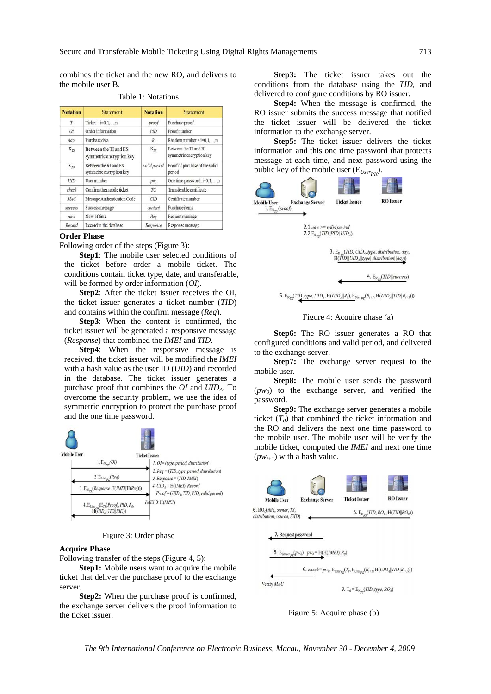combines the ticket and the new RO, and delivers to the mobile user B.

| <b>Notation</b> | <b>Statement</b>                                  | <b>Notation</b> | <b>Statement</b>                                  |
|-----------------|---------------------------------------------------|-----------------|---------------------------------------------------|
| T,              | Ticket $\cdot$ i=0.1,, $n$                        | proof           | Purchase proof                                    |
| OI              | Order information                                 | PID             | Proof number                                      |
| date.           | Purchase data                                     | $R_{i}$         | Random number $\cdot$ i=0.1n                      |
| $K_{75}$        | Between the TI and ES<br>symmetric encryption key | $K_{7R}$        | Between the TI and RI<br>symmetric encryption key |
| $K_{\rm ex}$    | Between the RI and ES<br>symmetric encryption key | valid period    | Proof of purchase of the valid<br>period          |
| UID             | User number                                       | $pw_i$          | One time password, i=0,1,,n                       |
| check           | Confirm the mobile ticket                         | TC              | Transferable certificate                          |
| MAC             | Message Authentication Code                       | <b>CID</b>      | Certificate number                                |
| success         | Success message                                   | content         | Purchase items                                    |
| 97.035          | Now of time                                       | Req             | Request message                                   |
| Record          | Record in the database                            | Response        | Response message                                  |

Table 1: Notations

#### **Order Phase**

Following order of the steps (Figure 3):

**Step1**: The mobile user selected conditions of the ticket before order a mobile ticket. The conditions contain ticket type, date, and transferable, will be formed by order information (*OI*).

**Step2**: After the ticket issuer receives the OI, the ticket issuer generates a ticket number (*TID*) and contains within the confirm message (*Req*).

**Step3**: When the content is confirmed, the ticket issuer will be generated a responsive message (*Response*) that combined the *IMEI* and *TID*.

**Step4**: When the responsive message is received, the ticket issuer will be modified the *IMEI* with a hash value as the user ID (*UID*) and recorded in the database. The ticket issuer generates a purchase proof that combines the *OI* and *UIDA*. To overcome the security problem, we use the idea of symmetric encryption to protect the purchase proof and the one time password.



Figure 3: Order phase

#### **Acquire Phase**

Following transfer of the steps (Figure 4, 5):

 **Step1:** Mobile users want to acquire the mobile ticket that deliver the purchase proof to the exchange server.

**Step2:** When the purchase proof is confirmed, the exchange server delivers the proof information to the ticket issuer.

 **Step3:** The ticket issuer takes out the conditions from the database using the *TID*, and delivered to configure conditions by RO issuer.

 **Step4:** When the message is confirmed, the RO issuer submits the success message that notified the ticket issuer will be delivered the ticket information to the exchange server.

 **Step5:** The ticket issuer delivers the ticket information and this one time password that protects message at each time, and next password using the public key of the mobile user  $(E_{User_{PK}})$ .



Figure 4: Acquire phase (a)

**Step6:** The RO issuer generates a RO that configured conditions and valid period, and delivered to the exchange server.

**Step7:** The exchange server request to the mobile user.

**Step8:** The mobile user sends the password  $(pw_0)$  to the exchange server, and verified the password.

**Step9:** The exchange server generates a mobile ticket  $(T_0)$  that combined the ticket information and the RO and delivers the next one time password to the mobile user. The mobile user will be verify the mobile ticket, computed the *IMEI* and next one time  $(pw_{i+1})$  with a hash value.



Figure 5: Acquire phase (b)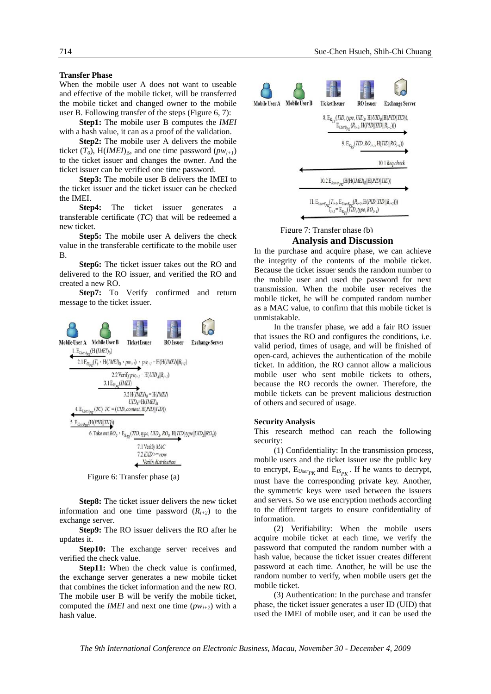#### **Transfer Phase**

When the mobile user A does not want to useable and effective of the mobile ticket, will be transferred the mobile ticket and changed owner to the mobile user B. Following transfer of the steps (Figure 6, 7):

 **Step1:** The mobile user B computes the *IMEI* with a hash value, it can as a proof of the validation.

 **Step2:** The mobile user A delivers the mobile ticket  $(T_0)$ , H(*IMEI*)<sub>B</sub>, and one time password  $(pw_{i+1})$ to the ticket issuer and changes the owner. And the ticket issuer can be verified one time password.

 **Step3:** The mobile user B delivers the IMEI to the ticket issuer and the ticket issuer can be checked the IMEI.

**Step4:** The ticket issuer generates transferable certificate (*TC*) that will be redeemed a new ticket.

 **Step5:** The mobile user A delivers the check value in the transferable certificate to the mobile user B.

 **Step6:** The ticket issuer takes out the RO and delivered to the RO issuer, and verified the RO and created a new RO.

 **Step7:** To Verify confirmed and return message to the ticket issuer.



Figure 6: Transfer phase (a)

**Step8:** The ticket issuer delivers the new ticket information and one time password  $(R_{i+2})$  to the exchange server.

 **Step9:** The RO issuer delivers the RO after he updates it.

**Step10:** The exchange server receives and verified the check value.

 **Step11:** When the check value is confirmed, the exchange server generates a new mobile ticket that combines the ticket information and the new RO. The mobile user B will be verify the mobile ticket, computed the *IMEI* and next one time  $(pw_{i+2})$  with a hash value.



#### **Analysis and Discussion**  Figure 7: Transfer phase (b)

In the purchase and acquire phase, we can achieve the integrity of the contents of the mobile ticket. Because the ticket issuer sends the random number to the mobile user and used the password for next transmission. When the mobile user receives the mobile ticket, he will be computed random number as a MAC value, to confirm that this mobile ticket is unmistakable.

 In the transfer phase, we add a fair RO issuer that issues the RO and configures the conditions, i.e. valid period, times of usage, and will be finished of open-card, achieves the authentication of the mobile ticket. In addition, the RO cannot allow a malicious mobile user who sent mobile tickets to others, because the RO records the owner. Therefore, the mobile tickets can be prevent malicious destruction of others and secured of usage.

#### **Security Analysis**

This research method can reach the following security:

(1) Confidentiality: In the transmission process, mobile users and the ticket issuer use the public key to encrypt,  $E_{User_{PK}}$  and  $E_{IS_{PK}}$ . If he wants to decrypt, must have the corresponding private key. Another, the symmetric keys were used between the issuers and servers. So we use encryption methods according to the different targets to ensure confidentiality of information.

(2) Verifiability: When the mobile users acquire mobile ticket at each time, we verify the password that computed the random number with a hash value, because the ticket issuer creates different password at each time. Another, he will be use the random number to verify, when mobile users get the mobile ticket.

(3) Authentication: In the purchase and transfer phase, the ticket issuer generates a user ID (UID) that used the IMEI of mobile user, and it can be used the